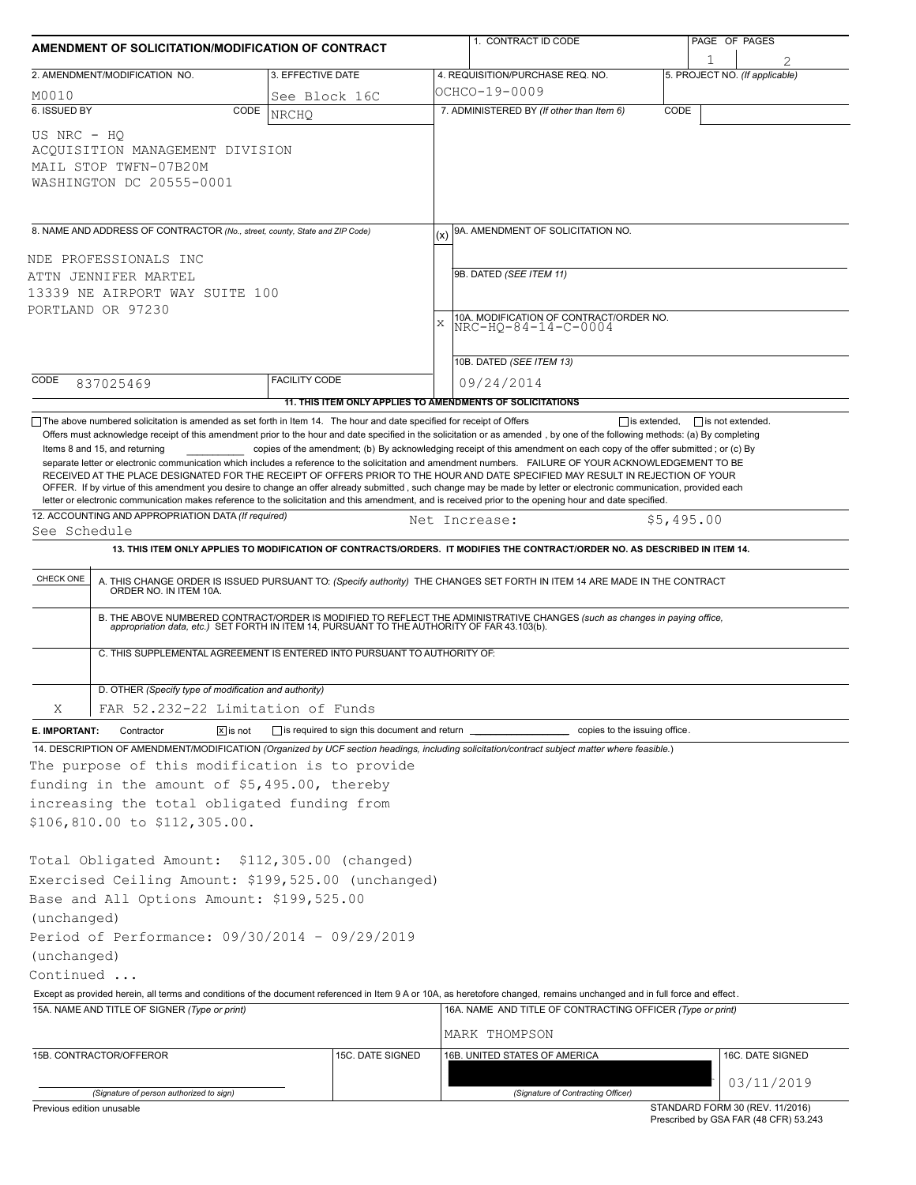| AMENDMENT OF SOLICITATION/MODIFICATION OF CONTRACT                                                                                                                                                                         |                                                                                                                                                                                |                                                           |             | 1. CONTRACT ID CODE                                                                                                                                                                                                                                                                                                                                                                                                                                                                                                                                                                                                           |                     | PAGE OF PAGES                  |                                 |  |
|----------------------------------------------------------------------------------------------------------------------------------------------------------------------------------------------------------------------------|--------------------------------------------------------------------------------------------------------------------------------------------------------------------------------|-----------------------------------------------------------|-------------|-------------------------------------------------------------------------------------------------------------------------------------------------------------------------------------------------------------------------------------------------------------------------------------------------------------------------------------------------------------------------------------------------------------------------------------------------------------------------------------------------------------------------------------------------------------------------------------------------------------------------------|---------------------|--------------------------------|---------------------------------|--|
|                                                                                                                                                                                                                            | 2. AMENDMENT/MODIFICATION NO.                                                                                                                                                  | 3. EFFECTIVE DATE                                         |             | 4. REQUISITION/PURCHASE REQ. NO.                                                                                                                                                                                                                                                                                                                                                                                                                                                                                                                                                                                              |                     | 5. PROJECT NO. (If applicable) |                                 |  |
| M0010                                                                                                                                                                                                                      |                                                                                                                                                                                | See Block 16C                                             |             | OCHCO-19-0009                                                                                                                                                                                                                                                                                                                                                                                                                                                                                                                                                                                                                 |                     |                                |                                 |  |
| 6. ISSUED BY                                                                                                                                                                                                               | CODE                                                                                                                                                                           | <b>NRCHO</b>                                              |             | 7. ADMINISTERED BY (If other than Item 6)                                                                                                                                                                                                                                                                                                                                                                                                                                                                                                                                                                                     | CODE                |                                |                                 |  |
| US NRC - HO                                                                                                                                                                                                                | ACQUISITION MANAGEMENT DIVISION<br>MAIL STOP TWFN-07B20M<br>WASHINGTON DC 20555-0001                                                                                           |                                                           |             |                                                                                                                                                                                                                                                                                                                                                                                                                                                                                                                                                                                                                               |                     |                                |                                 |  |
|                                                                                                                                                                                                                            | 8. NAME AND ADDRESS OF CONTRACTOR (No., street, county, State and ZIP Code)                                                                                                    |                                                           | (x)         | 9A. AMENDMENT OF SOLICITATION NO.                                                                                                                                                                                                                                                                                                                                                                                                                                                                                                                                                                                             |                     |                                |                                 |  |
|                                                                                                                                                                                                                            | NDE PROFESSIONALS INC                                                                                                                                                          |                                                           |             |                                                                                                                                                                                                                                                                                                                                                                                                                                                                                                                                                                                                                               |                     |                                |                                 |  |
|                                                                                                                                                                                                                            | ATTN JENNIFER MARTEL                                                                                                                                                           |                                                           |             | 9B. DATED (SEE ITEM 11)                                                                                                                                                                                                                                                                                                                                                                                                                                                                                                                                                                                                       |                     |                                |                                 |  |
|                                                                                                                                                                                                                            | 13339 NE AIRPORT WAY SUITE 100                                                                                                                                                 |                                                           |             |                                                                                                                                                                                                                                                                                                                                                                                                                                                                                                                                                                                                                               |                     |                                |                                 |  |
|                                                                                                                                                                                                                            | PORTLAND OR 97230                                                                                                                                                              |                                                           | $\mathbf x$ | 10A. MODIFICATION OF CONTRACT/ORDER NO.                                                                                                                                                                                                                                                                                                                                                                                                                                                                                                                                                                                       |                     |                                |                                 |  |
|                                                                                                                                                                                                                            |                                                                                                                                                                                |                                                           |             | $NRC-HQ-84-14-C-0004$                                                                                                                                                                                                                                                                                                                                                                                                                                                                                                                                                                                                         |                     |                                |                                 |  |
|                                                                                                                                                                                                                            |                                                                                                                                                                                |                                                           |             | 10B. DATED (SEE ITEM 13)                                                                                                                                                                                                                                                                                                                                                                                                                                                                                                                                                                                                      |                     |                                |                                 |  |
| CODE                                                                                                                                                                                                                       | 837025469                                                                                                                                                                      | <b>FACILITY CODE</b>                                      |             | 09/24/2014                                                                                                                                                                                                                                                                                                                                                                                                                                                                                                                                                                                                                    |                     |                                |                                 |  |
|                                                                                                                                                                                                                            |                                                                                                                                                                                | 11. THIS ITEM ONLY APPLIES TO AMENDMENTS OF SOLICITATIONS |             |                                                                                                                                                                                                                                                                                                                                                                                                                                                                                                                                                                                                                               |                     |                                |                                 |  |
|                                                                                                                                                                                                                            | $\Box$ The above numbered solicitation is amended as set forth in Item 14. The hour and date specified for receipt of Offers                                                   |                                                           |             |                                                                                                                                                                                                                                                                                                                                                                                                                                                                                                                                                                                                                               | $\Box$ is extended, | $\Box$ is not extended.        |                                 |  |
|                                                                                                                                                                                                                            | 12. ACCOUNTING AND APPROPRIATION DATA (If required)                                                                                                                            |                                                           |             | separate letter or electronic communication which includes a reference to the solicitation and amendment numbers. FAILURE OF YOUR ACKNOWLEDGEMENT TO BE<br>RECEIVED AT THE PLACE DESIGNATED FOR THE RECEIPT OF OFFERS PRIOR TO THE HOUR AND DATE SPECIFIED MAY RESULT IN REJECTION OF YOUR<br>OFFER. If by virtue of this amendment you desire to change an offer already submitted, such change may be made by letter or electronic communication, provided each<br>letter or electronic communication makes reference to the solicitation and this amendment, and is received prior to the opening hour and date specified. |                     |                                |                                 |  |
| See Schedule                                                                                                                                                                                                               |                                                                                                                                                                                |                                                           |             | Net Increase:                                                                                                                                                                                                                                                                                                                                                                                                                                                                                                                                                                                                                 | \$5,495.00          |                                |                                 |  |
| CHECK ONE                                                                                                                                                                                                                  | C. THIS SUPPLEMENTAL AGREEMENT IS ENTERED INTO PURSUANT TO AUTHORITY OF:                                                                                                       |                                                           |             | A. THIS CHANGE ORDER IS ISSUED PURSUANT TO: (Specify authority) THE CHANGES SET FORTH IN ITEM 14 ARE MADE IN THE CONTRACT ORDER NO. IN ITEM 10A.<br>B. THE ABOVE NUMBERED CONTRACT/ORDER IS MODIFIED TO REFLECT THE ADMINISTRATIVE CHANGES (such as changes in paying office,<br>appropriation data, etc.) SET FORTH IN ITEM 14, PURSUANT TO THE AUTHORITY OF FAR 43.103(b).                                                                                                                                                                                                                                                  |                     |                                |                                 |  |
|                                                                                                                                                                                                                            |                                                                                                                                                                                |                                                           |             |                                                                                                                                                                                                                                                                                                                                                                                                                                                                                                                                                                                                                               |                     |                                |                                 |  |
|                                                                                                                                                                                                                            | D. OTHER (Specify type of modification and authority)                                                                                                                          |                                                           |             |                                                                                                                                                                                                                                                                                                                                                                                                                                                                                                                                                                                                                               |                     |                                |                                 |  |
| Χ                                                                                                                                                                                                                          | FAR 52.232-22 Limitation of Funds                                                                                                                                              |                                                           |             |                                                                                                                                                                                                                                                                                                                                                                                                                                                                                                                                                                                                                               |                     |                                |                                 |  |
| E. IMPORTANT:                                                                                                                                                                                                              | $ \overline{x} $ is not<br>Contractor                                                                                                                                          | is required to sign this document and return              |             | copies to the issuing office.                                                                                                                                                                                                                                                                                                                                                                                                                                                                                                                                                                                                 |                     |                                |                                 |  |
|                                                                                                                                                                                                                            | The purpose of this modification is to provide<br>funding in the amount of \$5,495.00, thereby<br>increasing the total obligated funding from<br>\$106,810.00 to \$112,305.00. |                                                           |             | 14. DESCRIPTION OF AMENDMENT/MODIFICATION (Organized by UCF section headings, including solicitation/contract subject matter where feasible.)                                                                                                                                                                                                                                                                                                                                                                                                                                                                                 |                     |                                |                                 |  |
|                                                                                                                                                                                                                            | Total Obligated Amount: \$112,305.00 (changed)<br>Exercised Ceiling Amount: \$199,525.00 (unchanged)<br>Base and All Options Amount: \$199,525.00                              |                                                           |             |                                                                                                                                                                                                                                                                                                                                                                                                                                                                                                                                                                                                                               |                     |                                |                                 |  |
| (unchanged)                                                                                                                                                                                                                |                                                                                                                                                                                |                                                           |             |                                                                                                                                                                                                                                                                                                                                                                                                                                                                                                                                                                                                                               |                     |                                |                                 |  |
|                                                                                                                                                                                                                            | Period of Performance: 09/30/2014 - 09/29/2019                                                                                                                                 |                                                           |             |                                                                                                                                                                                                                                                                                                                                                                                                                                                                                                                                                                                                                               |                     |                                |                                 |  |
| (unchanged)                                                                                                                                                                                                                |                                                                                                                                                                                |                                                           |             |                                                                                                                                                                                                                                                                                                                                                                                                                                                                                                                                                                                                                               |                     |                                |                                 |  |
| Continued                                                                                                                                                                                                                  |                                                                                                                                                                                |                                                           |             |                                                                                                                                                                                                                                                                                                                                                                                                                                                                                                                                                                                                                               |                     |                                |                                 |  |
| Except as provided herein, all terms and conditions of the document referenced in Item 9 A or 10A, as heretofore changed, remains unchanged and in full force and effect.<br>15A. NAME AND TITLE OF SIGNER (Type or print) |                                                                                                                                                                                |                                                           |             | 16A. NAME AND TITLE OF CONTRACTING OFFICER (Type or print)                                                                                                                                                                                                                                                                                                                                                                                                                                                                                                                                                                    |                     |                                |                                 |  |
|                                                                                                                                                                                                                            |                                                                                                                                                                                |                                                           |             | MARK THOMPSON                                                                                                                                                                                                                                                                                                                                                                                                                                                                                                                                                                                                                 |                     |                                |                                 |  |
|                                                                                                                                                                                                                            |                                                                                                                                                                                |                                                           |             |                                                                                                                                                                                                                                                                                                                                                                                                                                                                                                                                                                                                                               |                     |                                |                                 |  |
|                                                                                                                                                                                                                            | 15B. CONTRACTOR/OFFEROR                                                                                                                                                        | 15C. DATE SIGNED                                          |             | 16B. UNITED STATES OF AMERICA                                                                                                                                                                                                                                                                                                                                                                                                                                                                                                                                                                                                 |                     |                                | 16C. DATE SIGNED                |  |
|                                                                                                                                                                                                                            |                                                                                                                                                                                |                                                           |             |                                                                                                                                                                                                                                                                                                                                                                                                                                                                                                                                                                                                                               |                     |                                | 03/11/2019                      |  |
|                                                                                                                                                                                                                            | (Signature of person authorized to sign)<br>Previous edition unusable                                                                                                          |                                                           |             | (Signature of Contracting Officer)                                                                                                                                                                                                                                                                                                                                                                                                                                                                                                                                                                                            |                     |                                | STANDARD FORM 30 (REV. 11/2016) |  |

Prescribed by GSA FAR (48 CFR) 53.243